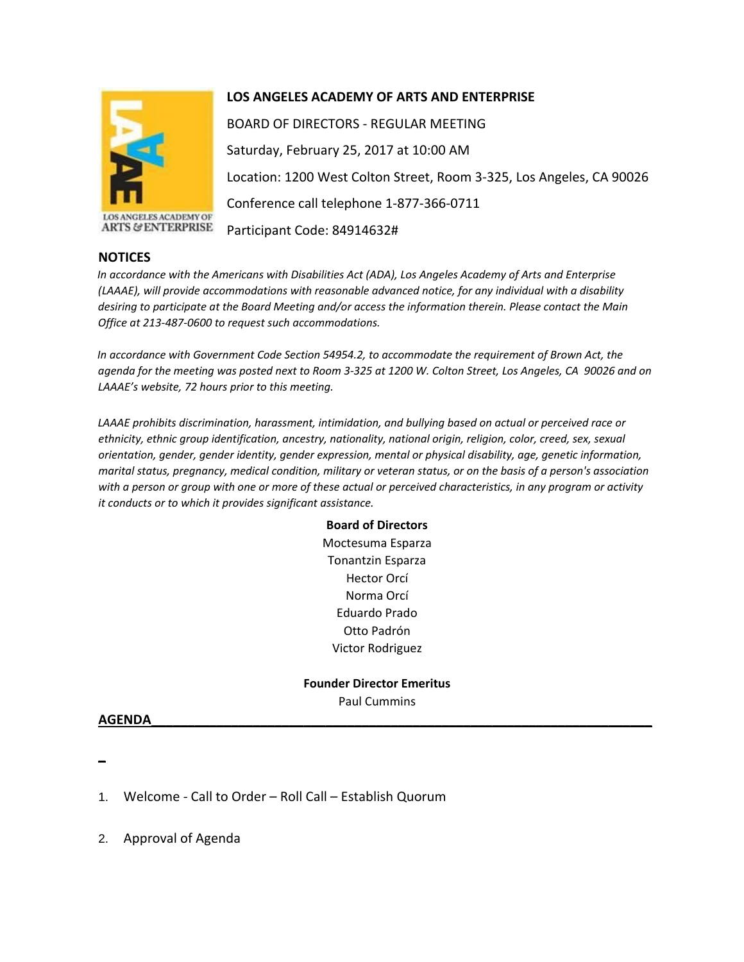

LOS ANGELES ACADEMY OF **ARTS & ENTERPRISE** 

## **LOS ANGELES ACADEMY OF ARTS AND ENTERPRISE**

BOARD OF DIRECTORS - REGULAR MEETING Saturday, February 25, 2017 at 10:00 AM Location: 1200 West Colton Street, Room 3-325, Los Angeles, CA 90026 Conference call telephone 1-877-366-0711 Participant Code: 84914632#

## **NOTICES**

*In accordance with the Americans with Disabilities Act (ADA), Los Angeles Academy of Arts and Enterprise (LAAAE), will provide accommodations with reasonable advanced notice, for any individual with a disability desiring to participate at the Board Meeting and/or access the information therein. Please contact the Main Office at 213-487-0600 to request such accommodations.* 

*In accordance with Government Code Section 54954.2, to accommodate the requirement of Brown Act, the agenda for the meeting was posted next to Room 3-325 at 1200 W. Colton Street, Los Angeles, CA 90026 and on LAAAE's website, 72 hours prior to this meeting.* 

*LAAAE prohibits discrimination, harassment, intimidation, and bullying based on actual or perceived race or ethnicity, ethnic group identification, ancestry, nationality, national origin, religion, color, creed, sex, sexual orientation, gender, gender identity, gender expression, mental or physical disability, age, genetic information, marital status, pregnancy, medical condition, military or veteran status, or on the basis of a person's association with a person or group with one or more of these actual or perceived characteristics, in any program or activity it conducts or to which it provides significant assistance.* 

> **Board of Directors** Moctesuma Esparza Tonantzin Esparza Hector Orcí Norma Orcí Eduardo Prado Otto Padrón Victor Rodriguez

**Founder Director Emeritus** Paul Cummins

## **AGENDA\_\_\_\_\_\_\_\_\_\_\_\_\_\_\_\_\_\_\_\_\_\_\_\_\_\_\_\_\_\_\_\_\_\_\_\_\_\_\_\_\_\_\_\_\_\_\_\_\_\_\_\_\_\_\_\_\_\_\_\_\_\_\_\_\_\_\_\_\_**

**\_**

1. Welcome - Call to Order – Roll Call – Establish Quorum

2. Approval of Agenda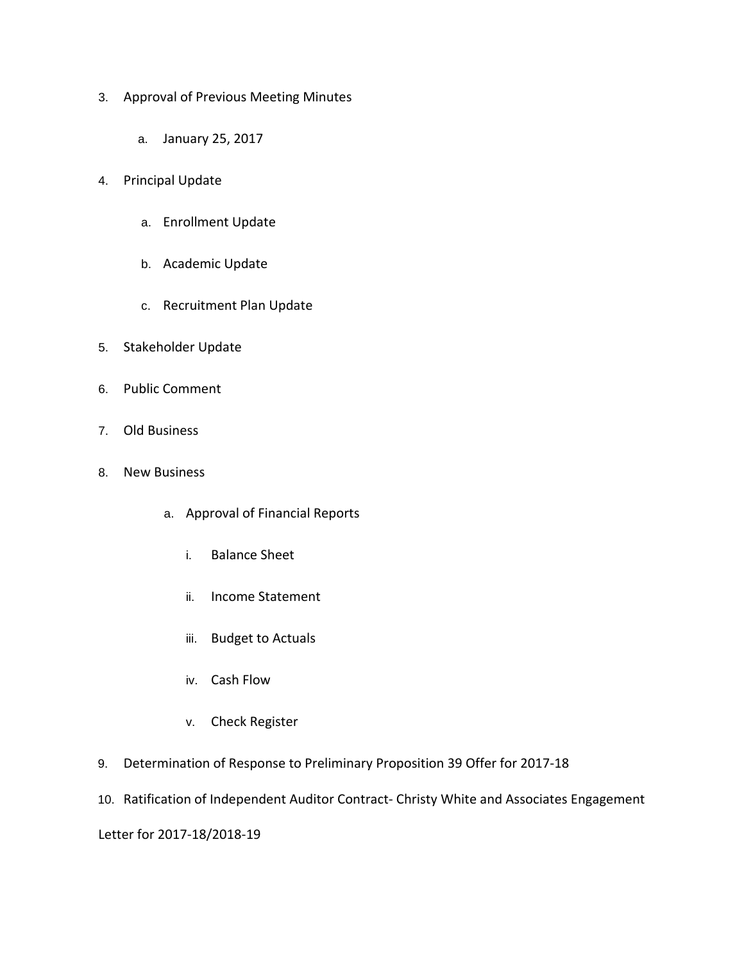- 3. Approval of Previous Meeting Minutes
	- a. January 25, 2017
- 4. Principal Update
	- a. Enrollment Update
	- b. Academic Update
	- c. Recruitment Plan Update
- 5. Stakeholder Update
- 6. Public Comment
- 7. Old Business
- 8. New Business
	- a. Approval of Financial Reports
		- i. Balance Sheet
		- ii. Income Statement
		- iii. Budget to Actuals
		- iv. Cash Flow
		- v. Check Register
- 9. Determination of Response to Preliminary Proposition 39 Offer for 2017-18
- 10. Ratification of Independent Auditor Contract- Christy White and Associates Engagement

Letter for 2017-18/2018-19